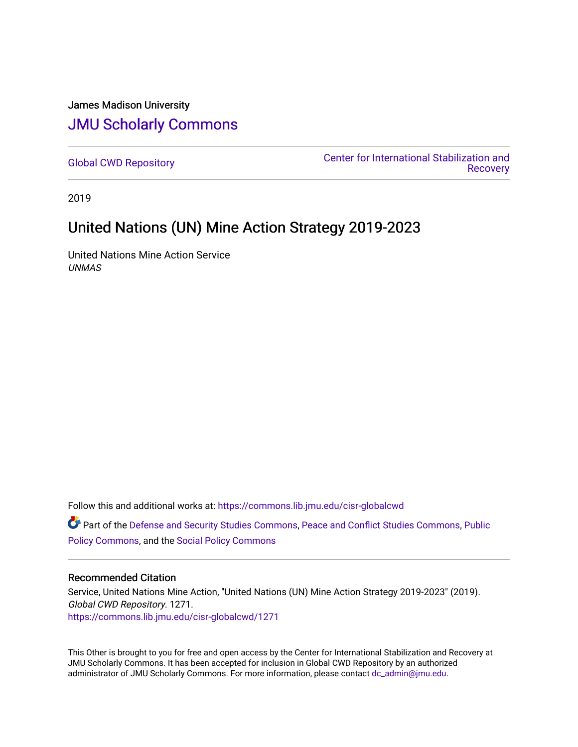#### James Madison University [JMU Scholarly Commons](https://commons.lib.jmu.edu/)

[Global CWD Repository](https://commons.lib.jmu.edu/cisr-globalcwd) [Center for International Stabilization and](https://commons.lib.jmu.edu/cisr)  **Recovery** 

2019

### United Nations (UN) Mine Action Strategy 2019-2023

United Nations Mine Action Service UNMAS

Follow this and additional works at: [https://commons.lib.jmu.edu/cisr-globalcwd](https://commons.lib.jmu.edu/cisr-globalcwd?utm_source=commons.lib.jmu.edu%2Fcisr-globalcwd%2F1271&utm_medium=PDF&utm_campaign=PDFCoverPages)

Part of the [Defense and Security Studies Commons](http://network.bepress.com/hgg/discipline/394?utm_source=commons.lib.jmu.edu%2Fcisr-globalcwd%2F1271&utm_medium=PDF&utm_campaign=PDFCoverPages), [Peace and Conflict Studies Commons](http://network.bepress.com/hgg/discipline/397?utm_source=commons.lib.jmu.edu%2Fcisr-globalcwd%2F1271&utm_medium=PDF&utm_campaign=PDFCoverPages), [Public](http://network.bepress.com/hgg/discipline/400?utm_source=commons.lib.jmu.edu%2Fcisr-globalcwd%2F1271&utm_medium=PDF&utm_campaign=PDFCoverPages) [Policy Commons](http://network.bepress.com/hgg/discipline/400?utm_source=commons.lib.jmu.edu%2Fcisr-globalcwd%2F1271&utm_medium=PDF&utm_campaign=PDFCoverPages), and the [Social Policy Commons](http://network.bepress.com/hgg/discipline/1030?utm_source=commons.lib.jmu.edu%2Fcisr-globalcwd%2F1271&utm_medium=PDF&utm_campaign=PDFCoverPages)

#### Recommended Citation

Service, United Nations Mine Action, "United Nations (UN) Mine Action Strategy 2019-2023" (2019). Global CWD Repository. 1271. [https://commons.lib.jmu.edu/cisr-globalcwd/1271](https://commons.lib.jmu.edu/cisr-globalcwd/1271?utm_source=commons.lib.jmu.edu%2Fcisr-globalcwd%2F1271&utm_medium=PDF&utm_campaign=PDFCoverPages) 

This Other is brought to you for free and open access by the Center for International Stabilization and Recovery at JMU Scholarly Commons. It has been accepted for inclusion in Global CWD Repository by an authorized administrator of JMU Scholarly Commons. For more information, please contact [dc\\_admin@jmu.edu](mailto:dc_admin@jmu.edu).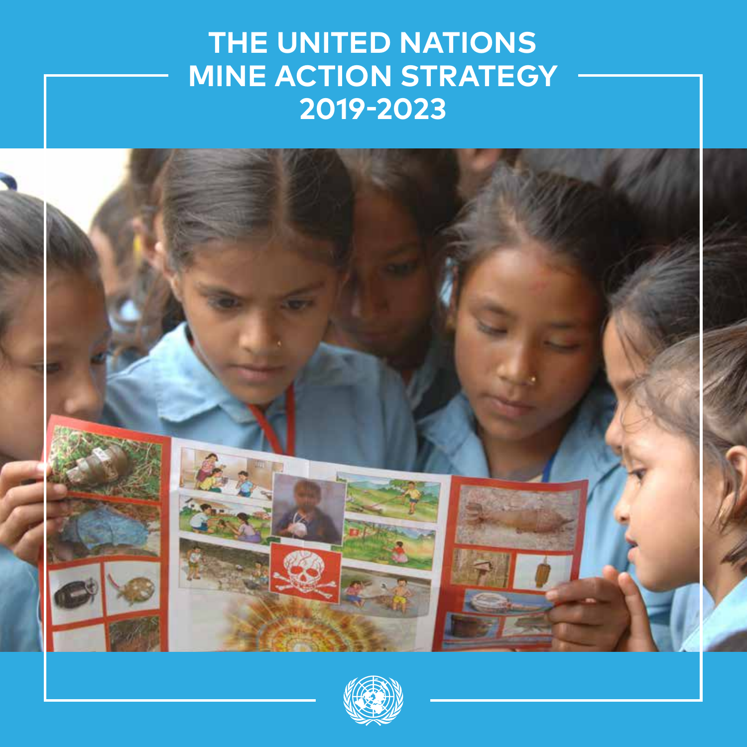# **THE UNITED NATIONS MINE ACTION STRATEGY 2019-2023**



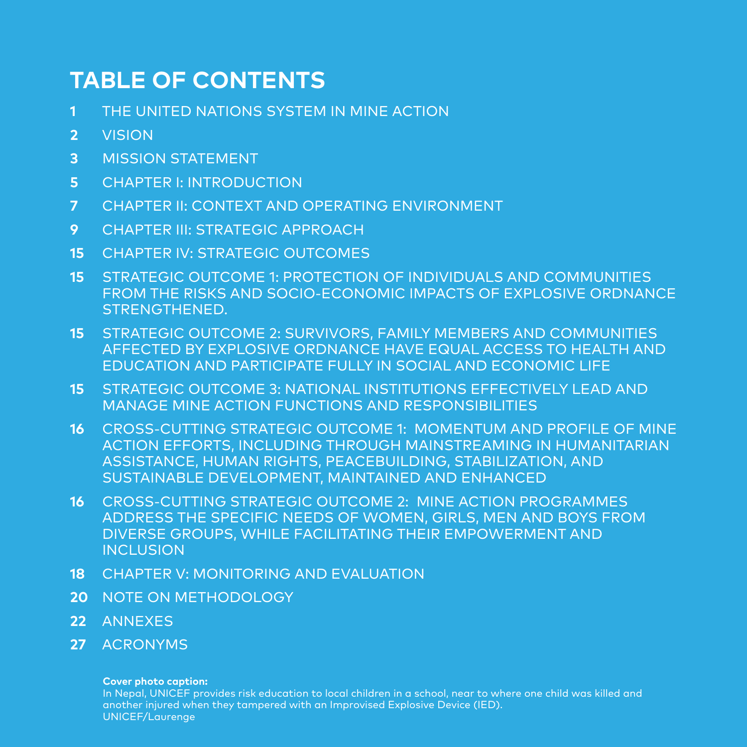### **TABLE OF CONTENTS**

- **1** THE UNITED NATIONS SYSTEM IN MINE ACTION
- **2** VISION
- **3** MISSION STATEMENT
- **5** CHAPTER I: INTRODUCTION
- **7** CHAPTER II: CONTEXT AND OPERATING ENVIRONMENT
- **9** CHAPTER III: STRATEGIC APPROACH
- **15** CHAPTER IV: STRATEGIC OUTCOMES
- **15** STRATEGIC OUTCOME 1: PROTECTION OF INDIVIDUALS AND COMMUNITIES FROM THE RISKS AND SOCIO-ECONOMIC IMPACTS OF EXPLOSIVE ORDNANCE STRENGTHENED.
- **15** STRATEGIC OUTCOME 2: SURVIVORS, FAMILY MEMBERS AND COMMUNITIES AFFECTED BY EXPLOSIVE ORDNANCE HAVE EQUAL ACCESS TO HEALTH AND EDUCATION AND PARTICIPATE FULLY IN SOCIAL AND ECONOMIC LIFE
- **15** STRATEGIC OUTCOME 3: NATIONAL INSTITUTIONS EFFECTIVELY LEAD AND MANAGE MINE ACTION FUNCTIONS AND RESPONSIBILITIES
- **16** CROSS-CUTTING STRATEGIC OUTCOME 1: MOMENTUM AND PROFILE OF MINE ACTION EFFORTS, INCLUDING THROUGH MAINSTREAMING IN HUMANITARIAN ASSISTANCE, HUMAN RIGHTS, PEACEBUILDING, STABILIZATION, AND SUSTAINABLE DEVELOPMENT, MAINTAINED AND ENHANCED
- **16** CROSS-CUTTING STRATEGIC OUTCOME 2: MINE ACTION PROGRAMMES ADDRESS THE SPECIFIC NEEDS OF WOMEN, GIRLS, MEN AND BOYS FROM DIVERSE GROUPS, WHILE FACILITATING THEIR EMPOWERMENT AND **INCLUSION**
- **18** CHAPTER V: MONITORING AND EVALUATION
- **20** NOTE ON METHODOLOGY
- **22** ANNEXES
- **27** ACRONYMS

#### **Cover photo caption:**

In Nepal, UNICEF provides risk education to local children in a school, near to where one child was killed and another injured when they tampered with an Improvised Explosive Device (IED). UNICEF/Laurenge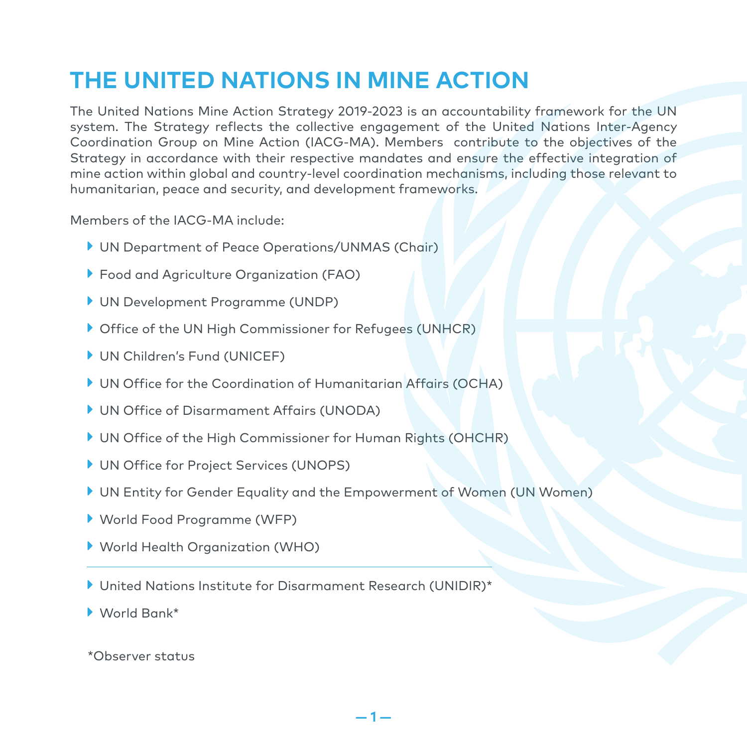### **THE UNITED NATIONS IN MINE ACTION**

The United Nations Mine Action Strategy 2019-2023 is an accountability framework for the UN system. The Strategy reflects the collective engagement of the United Nations Inter-Agency Coordination Group on Mine Action (IACG-MA). Members contribute to the objectives of the Strategy in accordance with their respective mandates and ensure the effective integration of mine action within global and country-level coordination mechanisms, including those relevant to humanitarian, peace and security, and development frameworks.

Members of the IACG-MA include:

- UN Department of Peace Operations/UNMAS (Chair)
- Food and Agriculture Organization (FAO)
- UN Development Programme (UNDP)
- ▶ Office of the UN High Commissioner for Refugees (UNHCR)
- ▶ UN Children's Fund (UNICEF)
- UN Office for the Coordination of Humanitarian Affairs (OCHA)
- UN Office of Disarmament Affairs (UNODA)
- UN Office of the High Commissioner for Human Rights (OHCHR)
- UN Office for Project Services (UNOPS)
- UN Entity for Gender Equality and the Empowerment of Women (UN Women)
- World Food Programme (WFP)
- World Health Organization (WHO)
- United Nations Institute for Disarmament Research (UNIDIR)\*

World Bank\*

\*Observer status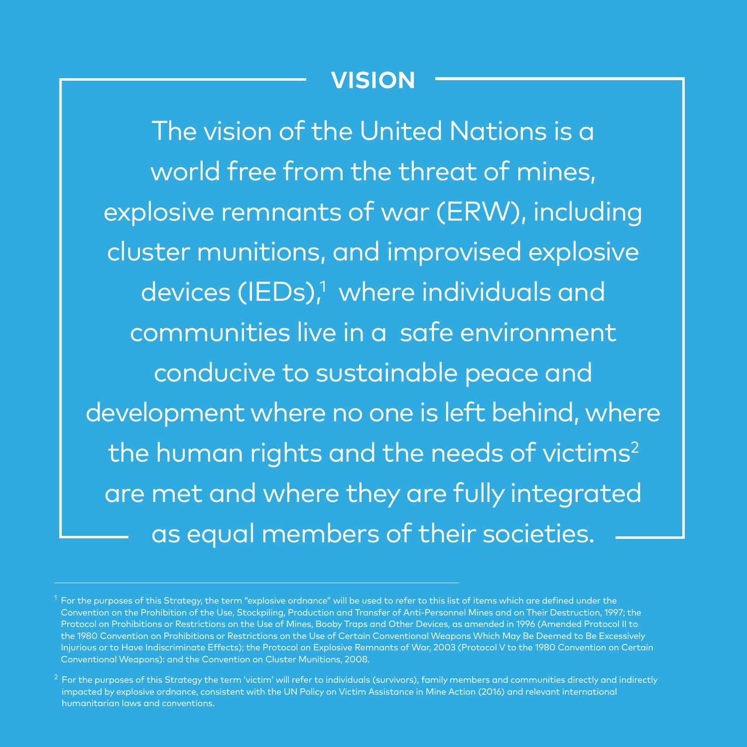### **VISION**

The vision of the United Nations is a world free from the threat of mines, explosive remnants of war (ERW), including cluster munitions, and improvised explosive devices (IEDs),<sup>1</sup> where individuals and communities live in a safe environment conducive to sustainable peace and development where no one is left behind, where the human rights and the needs of victims $2$ are met and where they are fully integrated as equal members of their societies.

 $^{\rm 1}$  For the purposes of this Strategy, the term "explosive ordnance" will be used to refer to this list of items which are defined under the Convention on the Prohibition of the Use, Stockpiling, Production and Transfer of Anti-Personnel Mines and on Their Destruction, 1997; the Protocol on Prohibitions or Restrictions on the Use of Mines, Booby Traps and Other Devices, as amended in 1996 (Amended Protocol II to the 1980 Convention on Prohibitions or Restrictions on the Use of Certain Conventional Weapons Which May Be Deemed to Be Excessively Injurious or to Have Indiscriminate Effects); the Protocol on Explosive Remnants of War, 2003 (Protocol V to the 1980 Convention on Certain Conventional Weapons): and the Convention on Cluster Munitions, 2008.

 $^2$  For the purposes of this Strategy the term 'victim' will refer to individuals (survivors), family members and communities directly and indirectly impacted by explosive ordnance, consistent with the UN Policy on Victim Assistance in Mine Action (2016) and relevant international humanitarian laws and conventions.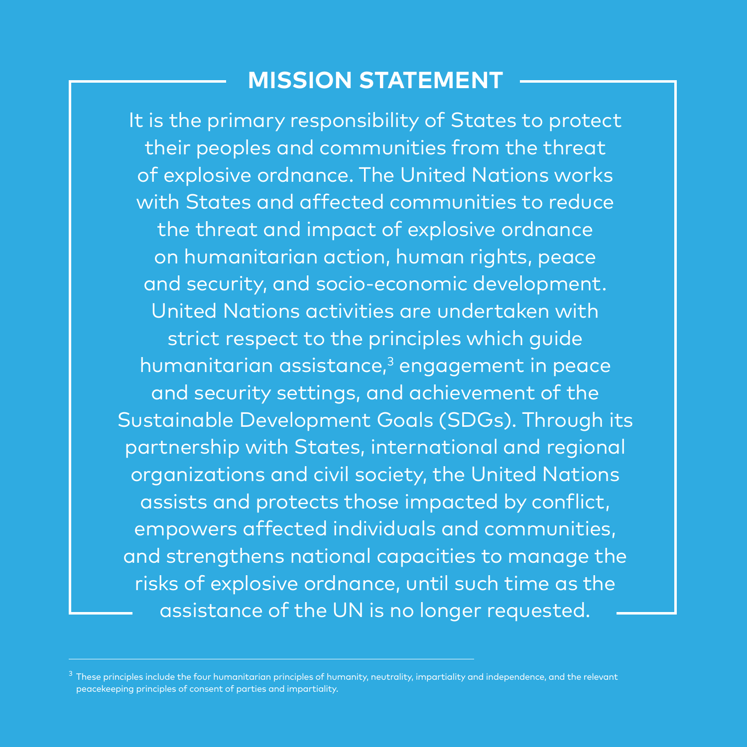### **MISSION STATEMENT**

It is the primary responsibility of States to protect their peoples and communities from the threat of explosive ordnance. The United Nations works with States and affected communities to reduce the threat and impact of explosive ordnance on humanitarian action, human rights, peace and security, and socio-economic development. United Nations activities are undertaken with strict respect to the principles which guide humanitarian assistance,<sup>3</sup> engagement in peace and security settings, and achievement of the Sustainable Development Goals (SDGs). Through its partnership with States, international and regional organizations and civil society, the United Nations assists and protects those impacted by conflict, empowers affected individuals and communities, and strengthens national capacities to manage the risks of explosive ordnance, until such time as the assistance of the UN is no longer requested.

 $^3$  These principles include the four humanitarian principles of humanity, neutrality, impartiality and independence, and the relevant peacekeeping principles of consent of parties and impartiality.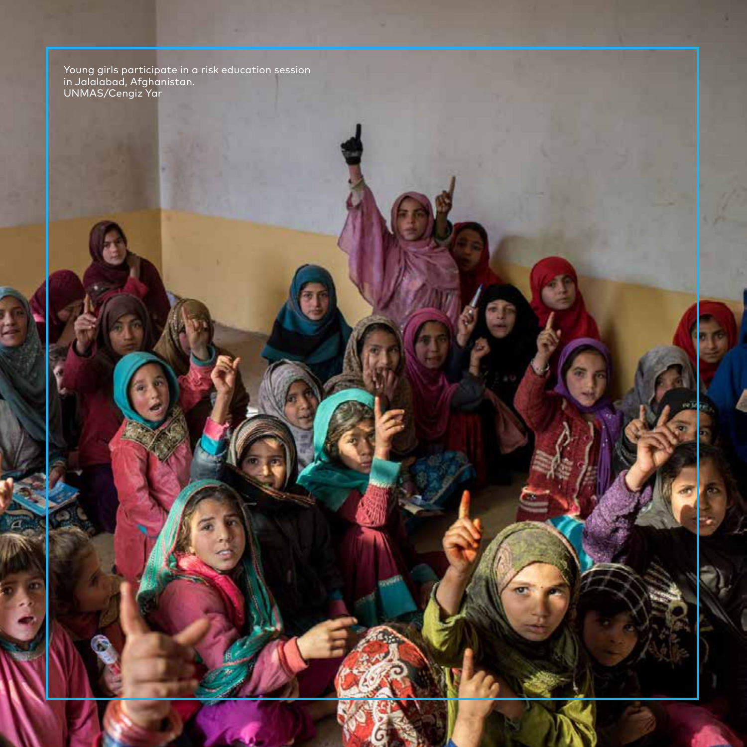Young girls participate in a risk education session<br>in Jalalabad, Afghanistan.<br>UNMAS/Cengiz Yar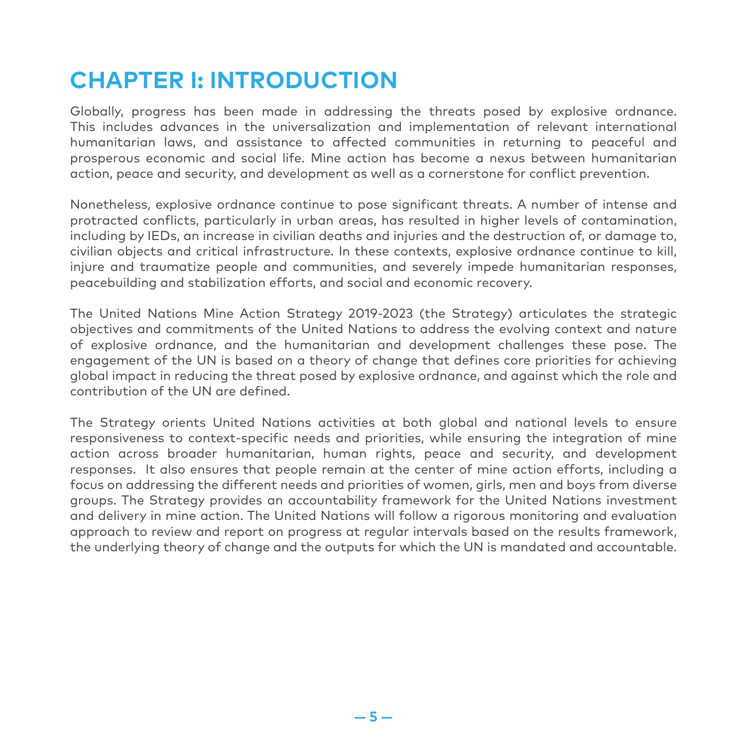### **CHAPTER I: INTRODUCTION**

Globally, progress has been made in addressing the threats posed by explosive ordnance. This includes advances in the universalization and implementation of relevant international humanitarian laws, and assistance to affected communities in returning to peaceful and prosperous economic and social life. Mine action has become a nexus between humanitarian action, peace and security, and development as well as a cornerstone for conflict prevention.

Nonetheless, explosive ordnance continue to pose significant threats. A number of intense and protracted conflicts, particularly in urban areas, has resulted in higher levels of contamination, including by IEDs, an increase in civilian deaths and injuries and the destruction of, or damage to, civilian objects and critical infrastructure. In these contexts, explosive ordnance continue to kill, injure and traumatize people and communities, and severely impede humanitarian responses, peacebuilding and stabilization efforts, and social and economic recovery.

The United Nations Mine Action Strategy 2019-2023 (the Strategy) articulates the strategic objectives and commitments of the United Nations to address the evolving context and nature of explosive ordnance, and the humanitarian and development challenges these pose. The engagement of the UN is based on a theory of change that defines core priorities for achieving global impact in reducing the threat posed by explosive ordnance, and against which the role and contribution of the UN are defined.

The Strategy orients United Nations activities at both global and national levels to ensure responsiveness to context-specific needs and priorities, while ensuring the integration of mine action across broader humanitarian, human rights, peace and security, and development responses. It also ensures that people remain at the center of mine action efforts, including a focus on addressing the different needs and priorities of women, girls, men and boys from diverse groups. The Strategy provides an accountability framework for the United Nations investment and delivery in mine action. The United Nations will follow a rigorous monitoring and evaluation approach to review and report on progress at regular intervals based on the results framework, the underlying theory of change and the outputs for which the UN is mandated and accountable.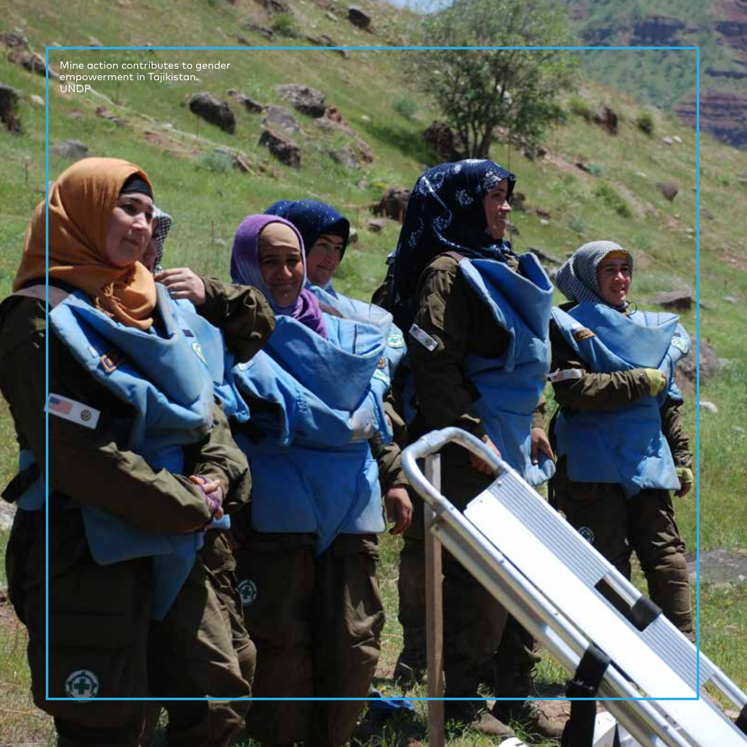Mine action contributes to gender<br>| empowerment in Tajikistan.<br>| UNDP

 $\hat{\Omega}$ 

Ł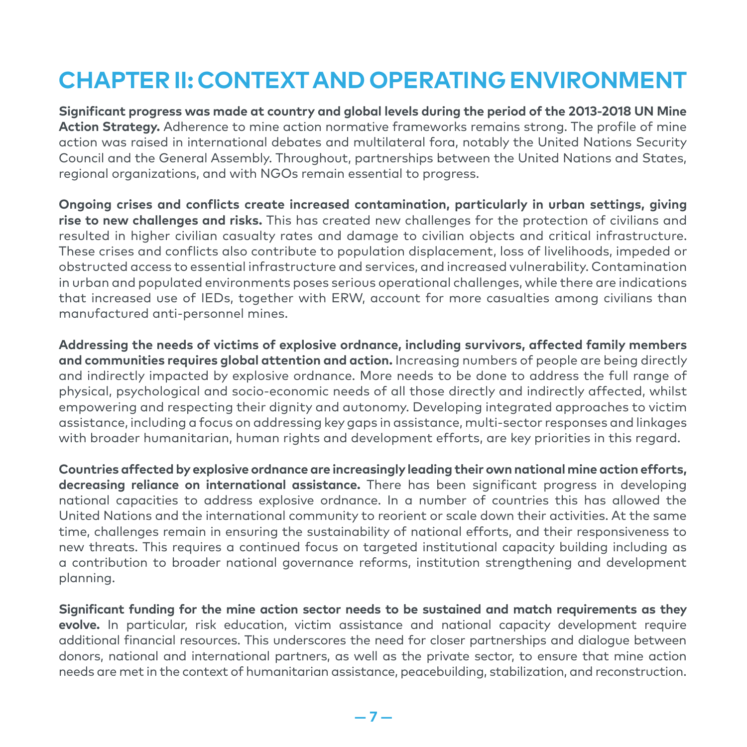### **CHAPTER II: CONTEXT AND OPERATING ENVIRONMENT**

**Significant progress was made at country and global levels during the period of the 2013-2018 UN Mine Action Strategy.** Adherence to mine action normative frameworks remains strong. The profile of mine action was raised in international debates and multilateral fora, notably the United Nations Security Council and the General Assembly. Throughout, partnerships between the United Nations and States, regional organizations, and with NGOs remain essential to progress.

**Ongoing crises and conflicts create increased contamination, particularly in urban settings, giving rise to new challenges and risks.** This has created new challenges for the protection of civilians and resulted in higher civilian casualty rates and damage to civilian objects and critical infrastructure. These crises and conflicts also contribute to population displacement, loss of livelihoods, impeded or obstructed access to essential infrastructure and services, and increased vulnerability. Contamination in urban and populated environments poses serious operational challenges, while there are indications that increased use of IEDs, together with ERW, account for more casualties among civilians than manufactured anti-personnel mines.

**Addressing the needs of victims of explosive ordnance, including survivors, affected family members and communities requires global attention and action.** Increasing numbers of people are being directly and indirectly impacted by explosive ordnance. More needs to be done to address the full range of physical, psychological and socio-economic needs of all those directly and indirectly affected, whilst empowering and respecting their dignity and autonomy. Developing integrated approaches to victim assistance, including a focus on addressing key gaps in assistance, multi-sector responses and linkages with broader humanitarian, human rights and development efforts, are key priorities in this regard.

**Countries affected by explosive ordnance are increasingly leading their own national mine action efforts, decreasing reliance on international assistance.** There has been significant progress in developing national capacities to address explosive ordnance. In a number of countries this has allowed the United Nations and the international community to reorient or scale down their activities. At the same time, challenges remain in ensuring the sustainability of national efforts, and their responsiveness to new threats. This requires a continued focus on targeted institutional capacity building including as a contribution to broader national governance reforms, institution strengthening and development planning.

**Significant funding for the mine action sector needs to be sustained and match requirements as they evolve.** In particular, risk education, victim assistance and national capacity development require additional financial resources. This underscores the need for closer partnerships and dialogue between donors, national and international partners, as well as the private sector, to ensure that mine action needs are met in the context of humanitarian assistance, peacebuilding, stabilization, and reconstruction.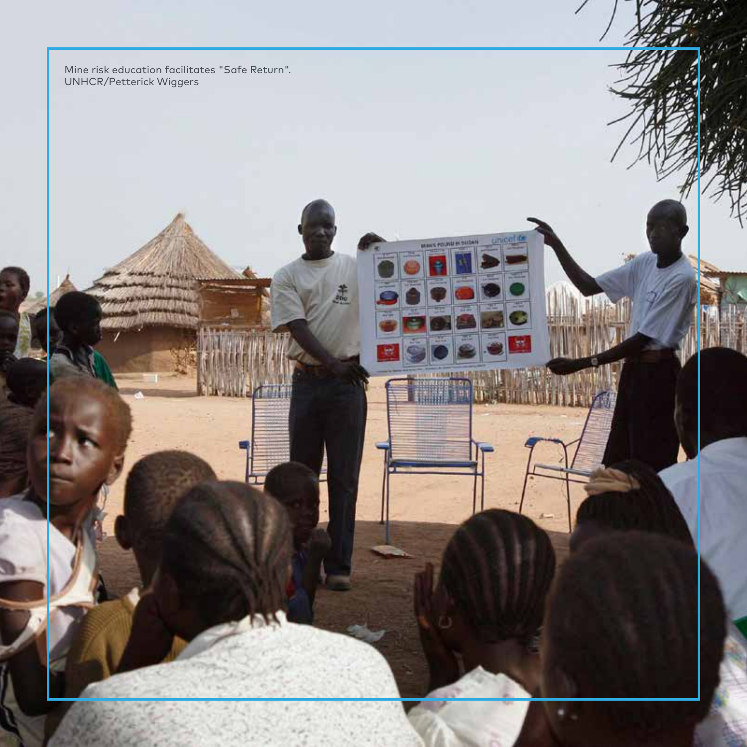Mine risk education facilitates "Safe Return".<br>UNHCR/Petterick Wiggers

1420

MOUS POUND IN SUCH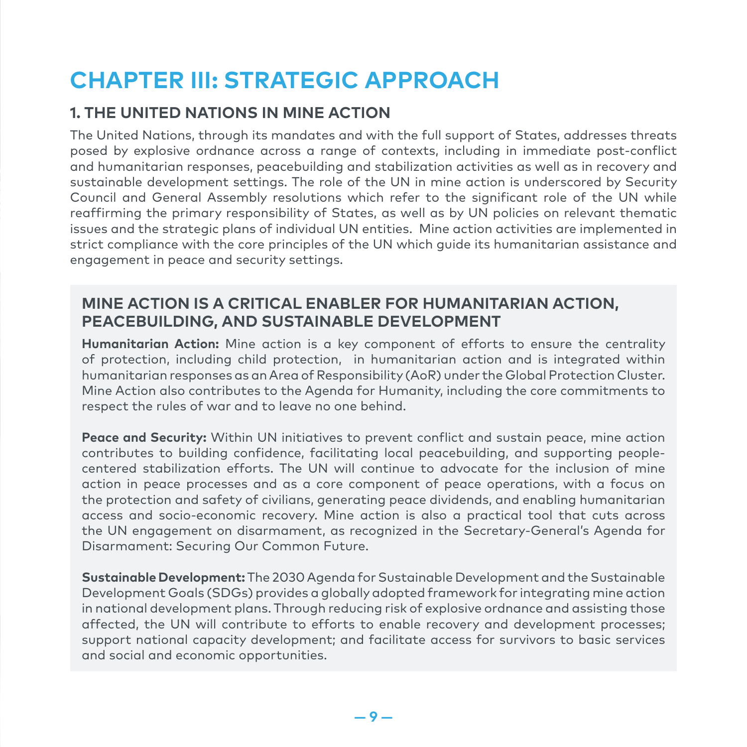### **CHAPTER III: STRATEGIC APPROACH**

#### **1. THE UNITED NATIONS IN MINE ACTION**

The United Nations, through its mandates and with the full support of States, addresses threats posed by explosive ordnance across a range of contexts, including in immediate post-conflict and humanitarian responses, peacebuilding and stabilization activities as well as in recovery and sustainable development settings. The role of the UN in mine action is underscored by Security Council and General Assembly resolutions which refer to the significant role of the UN while reaffirming the primary responsibility of States, as well as by UN policies on relevant thematic issues and the strategic plans of individual UN entities. Mine action activities are implemented in strict compliance with the core principles of the UN which guide its humanitarian assistance and engagement in peace and security settings.

#### **MINE ACTION IS A CRITICAL ENABLER FOR HUMANITARIAN ACTION, PEACEBUILDING, AND SUSTAINABLE DEVELOPMENT**

**Humanitarian Action:** Mine action is a key component of efforts to ensure the centrality of protection, including child protection, in humanitarian action and is integrated within humanitarian responses as an Area of Responsibility (AoR) under the Global Protection Cluster. Mine Action also contributes to the Agenda for Humanity, including the core commitments to respect the rules of war and to leave no one behind.

**Peace and Security:** Within UN initiatives to prevent conflict and sustain peace, mine action contributes to building confidence, facilitating local peacebuilding, and supporting peoplecentered stabilization efforts. The UN will continue to advocate for the inclusion of mine action in peace processes and as a core component of peace operations, with a focus on the protection and safety of civilians, generating peace dividends, and enabling humanitarian access and socio-economic recovery. Mine action is also a practical tool that cuts across the UN engagement on disarmament, as recognized in the Secretary-General's Agenda for Disarmament: Securing Our Common Future.

**Sustainable Development:** The 2030 Agenda for Sustainable Development and the Sustainable Development Goals (SDGs) provides a globally adopted framework for integrating mine action in national development plans. Through reducing risk of explosive ordnance and assisting those affected, the UN will contribute to efforts to enable recovery and development processes; support national capacity development; and facilitate access for survivors to basic services and social and economic opportunities.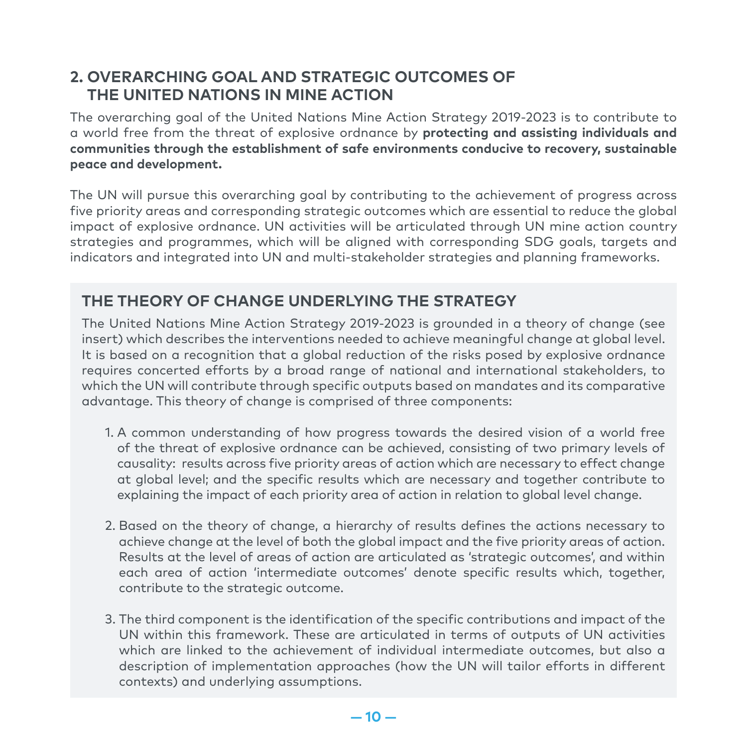#### **2. OVERARCHING GOAL AND STRATEGIC OUTCOMES OF THE UNITED NATIONS IN MINE ACTION**

The overarching goal of the United Nations Mine Action Strategy 2019-2023 is to contribute to a world free from the threat of explosive ordnance by **protecting and assisting individuals and communities through the establishment of safe environments conducive to recovery, sustainable peace and development.**

The UN will pursue this overarching goal by contributing to the achievement of progress across five priority areas and corresponding strategic outcomes which are essential to reduce the global impact of explosive ordnance. UN activities will be articulated through UN mine action country strategies and programmes, which will be aligned with corresponding SDG goals, targets and indicators and integrated into UN and multi-stakeholder strategies and planning frameworks.

#### **THE THEORY OF CHANGE UNDERLYING THE STRATEGY**

The United Nations Mine Action Strategy 2019-2023 is grounded in a theory of change (see insert) which describes the interventions needed to achieve meaningful change at global level. It is based on a recognition that a global reduction of the risks posed by explosive ordnance requires concerted efforts by a broad range of national and international stakeholders, to which the UN will contribute through specific outputs based on mandates and its comparative advantage. This theory of change is comprised of three components:

- 1. A common understanding of how progress towards the desired vision of a world free of the threat of explosive ordnance can be achieved, consisting of two primary levels of causality: results across five priority areas of action which are necessary to effect change at global level; and the specific results which are necessary and together contribute to explaining the impact of each priority area of action in relation to global level change.
- 2. Based on the theory of change, a hierarchy of results defines the actions necessary to achieve change at the level of both the global impact and the five priority areas of action. Results at the level of areas of action are articulated as 'strategic outcomes', and within each area of action 'intermediate outcomes' denote specific results which, together, contribute to the strategic outcome.
- 3. The third component is the identification of the specific contributions and impact of the UN within this framework. These are articulated in terms of outputs of UN activities which are linked to the achievement of individual intermediate outcomes, but also a description of implementation approaches (how the UN will tailor efforts in different contexts) and underlying assumptions.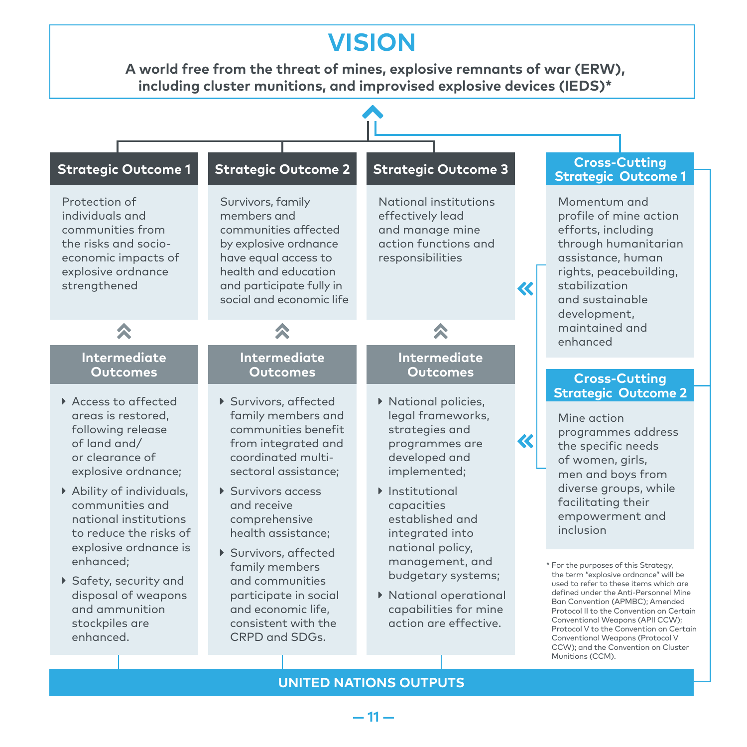### **VISION**

**A world free from the threat of mines, explosive remnants of war (ERW), including cluster munitions, and improvised explosive devices (IEDS)\***

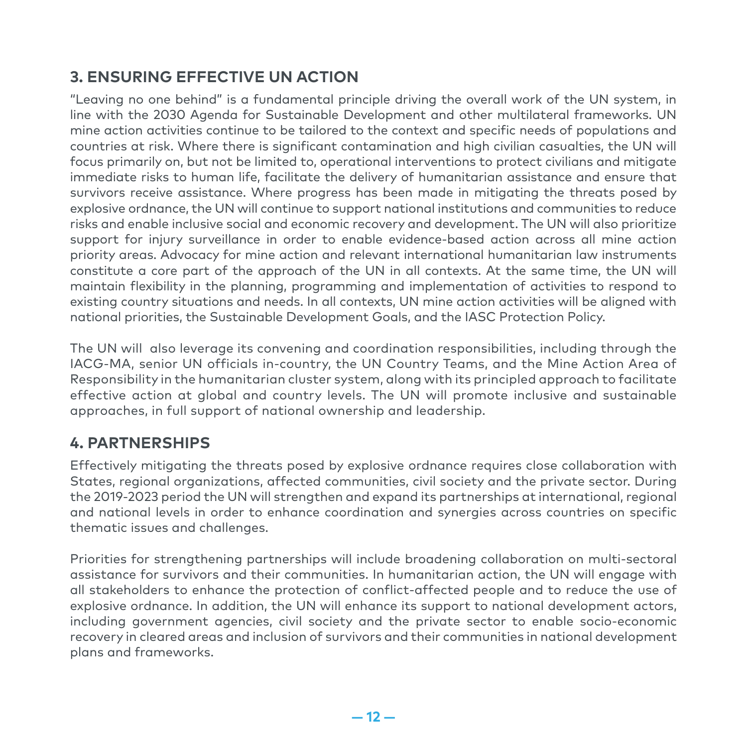#### **3. ENSURING EFFECTIVE UN ACTION**

"Leaving no one behind" is a fundamental principle driving the overall work of the UN system, in line with the 2030 Agenda for Sustainable Development and other multilateral frameworks. UN mine action activities continue to be tailored to the context and specific needs of populations and countries at risk. Where there is significant contamination and high civilian casualties, the UN will focus primarily on, but not be limited to, operational interventions to protect civilians and mitigate immediate risks to human life, facilitate the delivery of humanitarian assistance and ensure that survivors receive assistance. Where progress has been made in mitigating the threats posed by explosive ordnance, the UN will continue to support national institutions and communities to reduce risks and enable inclusive social and economic recovery and development. The UN will also prioritize support for injury surveillance in order to enable evidence-based action across all mine action priority areas. Advocacy for mine action and relevant international humanitarian law instruments constitute a core part of the approach of the UN in all contexts. At the same time, the UN will maintain flexibility in the planning, programming and implementation of activities to respond to existing country situations and needs. In all contexts, UN mine action activities will be aligned with national priorities, the Sustainable Development Goals, and the IASC Protection Policy.

The UN will also leverage its convening and coordination responsibilities, including through the IACG-MA, senior UN officials in-country, the UN Country Teams, and the Mine Action Area of Responsibility in the humanitarian cluster system, along with its principled approach to facilitate effective action at global and country levels. The UN will promote inclusive and sustainable approaches, in full support of national ownership and leadership.

#### **4. PARTNERSHIPS**

Effectively mitigating the threats posed by explosive ordnance requires close collaboration with States, regional organizations, affected communities, civil society and the private sector. During the 2019-2023 period the UN will strengthen and expand its partnerships at international, regional and national levels in order to enhance coordination and synergies across countries on specific thematic issues and challenges.

Priorities for strengthening partnerships will include broadening collaboration on multi-sectoral assistance for survivors and their communities. In humanitarian action, the UN will engage with all stakeholders to enhance the protection of conflict-affected people and to reduce the use of explosive ordnance. In addition, the UN will enhance its support to national development actors, including government agencies, civil society and the private sector to enable socio-economic recovery in cleared areas and inclusion of survivors and their communities in national development plans and frameworks.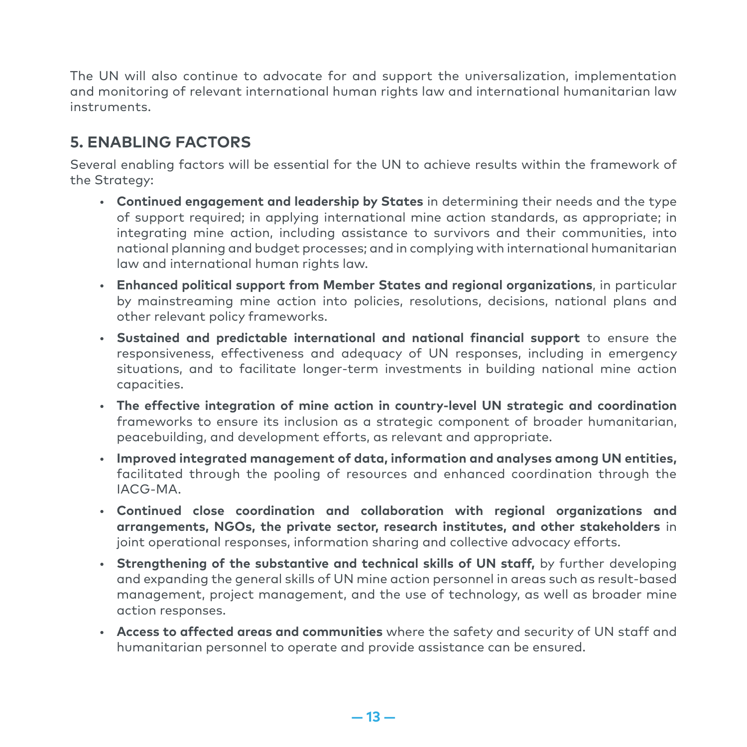The UN will also continue to advocate for and support the universalization, implementation and monitoring of relevant international human rights law and international humanitarian law instruments.

#### **5. ENABLING FACTORS**

Several enabling factors will be essential for the UN to achieve results within the framework of the Strategy:

- **Continued engagement and leadership by States** in determining their needs and the type of support required; in applying international mine action standards, as appropriate; in integrating mine action, including assistance to survivors and their communities, into national planning and budget processes; and in complying with international humanitarian law and international human rights law.
- **Enhanced political support from Member States and regional organizations**, in particular by mainstreaming mine action into policies, resolutions, decisions, national plans and other relevant policy frameworks.
- **Sustained and predictable international and national financial support** to ensure the responsiveness, effectiveness and adequacy of UN responses, including in emergency situations, and to facilitate longer-term investments in building national mine action capacities.
- **The effective integration of mine action in country-level UN strategic and coordination**  frameworks to ensure its inclusion as a strategic component of broader humanitarian, peacebuilding, and development efforts, as relevant and appropriate.
- **Improved integrated management of data, information and analyses among UN entities,**  facilitated through the pooling of resources and enhanced coordination through the IACG-MA.
- **Continued close coordination and collaboration with regional organizations and arrangements, NGOs, the private sector, research institutes, and other stakeholders** in joint operational responses, information sharing and collective advocacy efforts.
- **Strengthening of the substantive and technical skills of UN staff,** by further developing and expanding the general skills of UN mine action personnel in areas such as result-based management, project management, and the use of technology, as well as broader mine action responses.
- **Access to affected areas and communities** where the safety and security of UN staff and humanitarian personnel to operate and provide assistance can be ensured.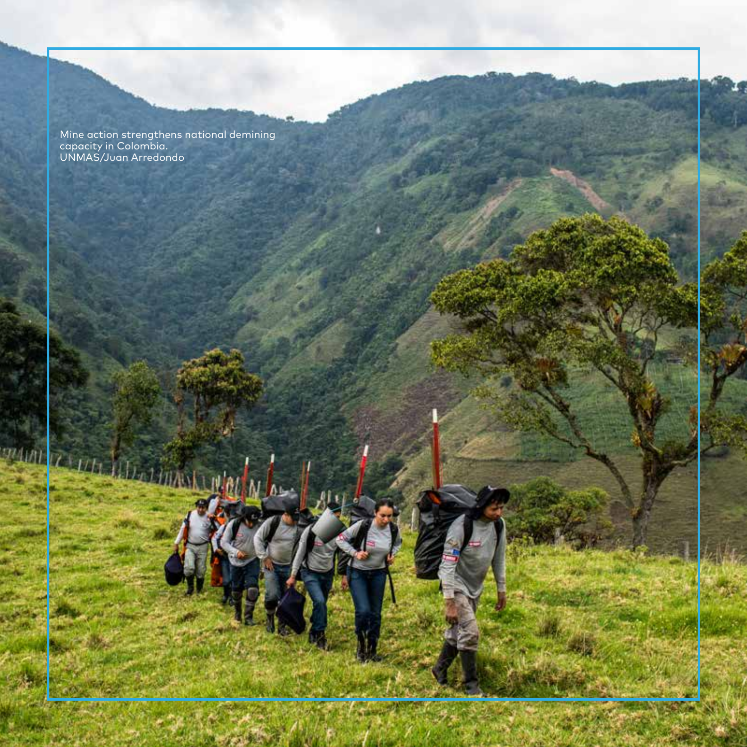Mine action strengthens national demining<br>capacity in Colombia.<br>UNMAS/Juan Arredondo

**ANTIAL** 

 $T$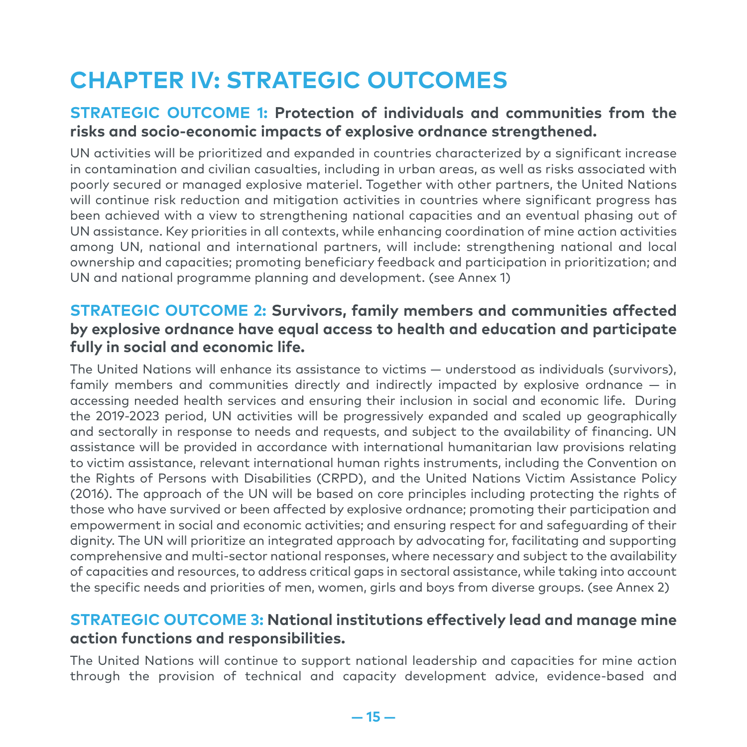### **CHAPTER IV: STRATEGIC OUTCOMES**

#### **STRATEGIC OUTCOME 1: Protection of individuals and communities from the risks and socio-economic impacts of explosive ordnance strengthened.**

UN activities will be prioritized and expanded in countries characterized by a significant increase in contamination and civilian casualties, including in urban areas, as well as risks associated with poorly secured or managed explosive materiel. Together with other partners, the United Nations will continue risk reduction and mitigation activities in countries where significant progress has been achieved with a view to strengthening national capacities and an eventual phasing out of UN assistance. Key priorities in all contexts, while enhancing coordination of mine action activities among UN, national and international partners, will include: strengthening national and local ownership and capacities; promoting beneficiary feedback and participation in prioritization; and UN and national programme planning and development. (see Annex 1)

#### **STRATEGIC OUTCOME 2: Survivors, family members and communities affected by explosive ordnance have equal access to health and education and participate fully in social and economic life.**

The United Nations will enhance its assistance to victims — understood as individuals (survivors), family members and communities directly and indirectly impacted by explosive ordnance — in accessing needed health services and ensuring their inclusion in social and economic life. During the 2019-2023 period, UN activities will be progressively expanded and scaled up geographically and sectorally in response to needs and requests, and subject to the availability of financing. UN assistance will be provided in accordance with international humanitarian law provisions relating to victim assistance, relevant international human rights instruments, including the Convention on the Rights of Persons with Disabilities (CRPD), and the United Nations Victim Assistance Policy (2016). The approach of the UN will be based on core principles including protecting the rights of those who have survived or been affected by explosive ordnance; promoting their participation and empowerment in social and economic activities; and ensuring respect for and safeguarding of their dignity. The UN will prioritize an integrated approach by advocating for, facilitating and supporting comprehensive and multi-sector national responses, where necessary and subject to the availability of capacities and resources, to address critical gaps in sectoral assistance, while taking into account the specific needs and priorities of men, women, girls and boys from diverse groups. (see Annex 2)

#### **STRATEGIC OUTCOME 3: National institutions effectively lead and manage mine action functions and responsibilities.**

The United Nations will continue to support national leadership and capacities for mine action through the provision of technical and capacity development advice, evidence-based and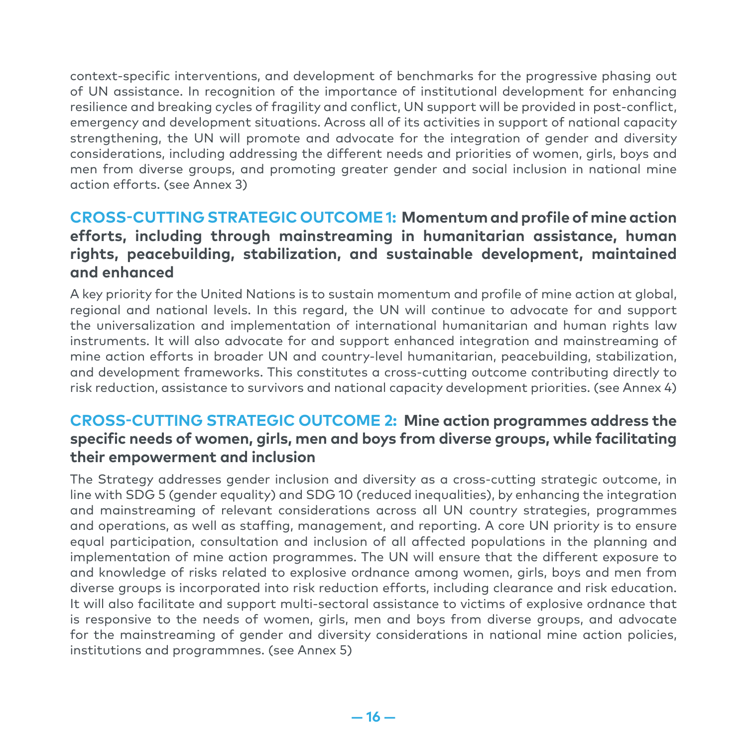context-specific interventions, and development of benchmarks for the progressive phasing out of UN assistance. In recognition of the importance of institutional development for enhancing resilience and breaking cycles of fragility and conflict, UN support will be provided in post-conflict, emergency and development situations. Across all of its activities in support of national capacity strengthening, the UN will promote and advocate for the integration of gender and diversity considerations, including addressing the different needs and priorities of women, girls, boys and men from diverse groups, and promoting greater gender and social inclusion in national mine action efforts. (see Annex 3)

#### **CROSS-CUTTING STRATEGIC OUTCOME 1: Momentum and profile of mine action efforts, including through mainstreaming in humanitarian assistance, human rights, peacebuilding, stabilization, and sustainable development, maintained and enhanced**

A key priority for the United Nations is to sustain momentum and profile of mine action at global, regional and national levels. In this regard, the UN will continue to advocate for and support the universalization and implementation of international humanitarian and human rights law instruments. It will also advocate for and support enhanced integration and mainstreaming of mine action efforts in broader UN and country-level humanitarian, peacebuilding, stabilization, and development frameworks. This constitutes a cross-cutting outcome contributing directly to risk reduction, assistance to survivors and national capacity development priorities. (see Annex 4)

#### **CROSS-CUTTING STRATEGIC OUTCOME 2: Mine action programmes address the specific needs of women, girls, men and boys from diverse groups, while facilitating their empowerment and inclusion**

The Strategy addresses gender inclusion and diversity as a cross-cutting strategic outcome, in line with SDG 5 (gender equality) and SDG 10 (reduced inequalities), by enhancing the integration and mainstreaming of relevant considerations across all UN country strategies, programmes and operations, as well as staffing, management, and reporting. A core UN priority is to ensure equal participation, consultation and inclusion of all affected populations in the planning and implementation of mine action programmes. The UN will ensure that the different exposure to and knowledge of risks related to explosive ordnance among women, girls, boys and men from diverse groups is incorporated into risk reduction efforts, including clearance and risk education. It will also facilitate and support multi-sectoral assistance to victims of explosive ordnance that is responsive to the needs of women, girls, men and boys from diverse groups, and advocate for the mainstreaming of gender and diversity considerations in national mine action policies, institutions and programmnes. (see Annex 5)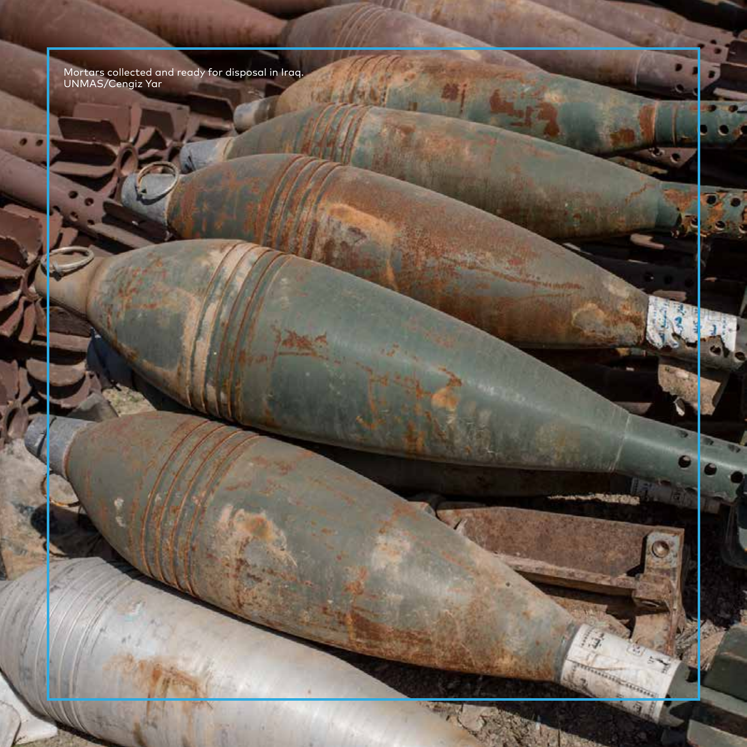Mortars collected and ready for disposal in Iraq.<br>UNMAS/Cengiz Yar

u

**Bark of** 

ne min

**AR 4913** 

 $\mathcal{I}$ 

eleccional communication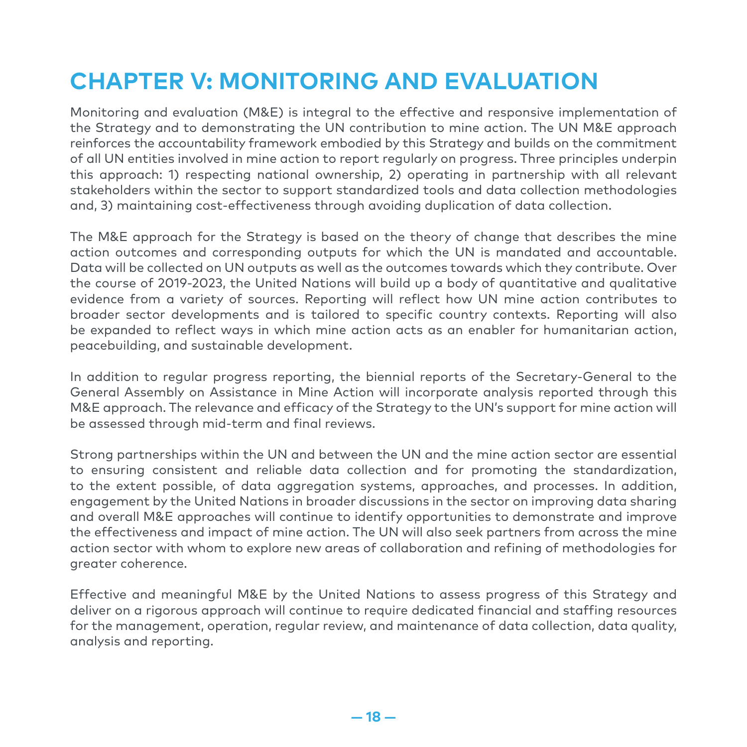### **CHAPTER V: MONITORING AND EVALUATION**

Monitoring and evaluation (M&E) is integral to the effective and responsive implementation of the Strategy and to demonstrating the UN contribution to mine action. The UN M&E approach reinforces the accountability framework embodied by this Strategy and builds on the commitment of all UN entities involved in mine action to report regularly on progress. Three principles underpin this approach: 1) respecting national ownership, 2) operating in partnership with all relevant stakeholders within the sector to support standardized tools and data collection methodologies and, 3) maintaining cost-effectiveness through avoiding duplication of data collection.

The M&E approach for the Strategy is based on the theory of change that describes the mine action outcomes and corresponding outputs for which the UN is mandated and accountable. Data will be collected on UN outputs as well as the outcomes towards which they contribute. Over the course of 2019-2023, the United Nations will build up a body of quantitative and qualitative evidence from a variety of sources. Reporting will reflect how UN mine action contributes to broader sector developments and is tailored to specific country contexts. Reporting will also be expanded to reflect ways in which mine action acts as an enabler for humanitarian action, peacebuilding, and sustainable development.

In addition to regular progress reporting, the biennial reports of the Secretary-General to the General Assembly on Assistance in Mine Action will incorporate analysis reported through this M&E approach. The relevance and efficacy of the Strategy to the UN's support for mine action will be assessed through mid-term and final reviews.

Strong partnerships within the UN and between the UN and the mine action sector are essential to ensuring consistent and reliable data collection and for promoting the standardization, to the extent possible, of data aggregation systems, approaches, and processes. In addition, engagement by the United Nations in broader discussions in the sector on improving data sharing and overall M&E approaches will continue to identify opportunities to demonstrate and improve the effectiveness and impact of mine action. The UN will also seek partners from across the mine action sector with whom to explore new areas of collaboration and refining of methodologies for greater coherence.

Effective and meaningful M&E by the United Nations to assess progress of this Strategy and deliver on a rigorous approach will continue to require dedicated financial and staffing resources for the management, operation, regular review, and maintenance of data collection, data quality, analysis and reporting.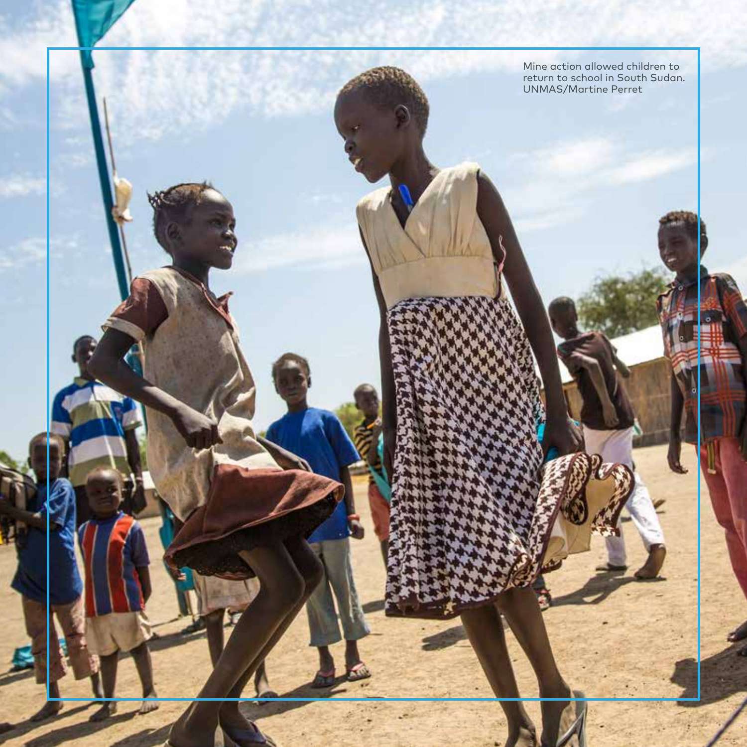Mine action allowed children to return to school in South Sudan. **UNMAS/Martine Perret**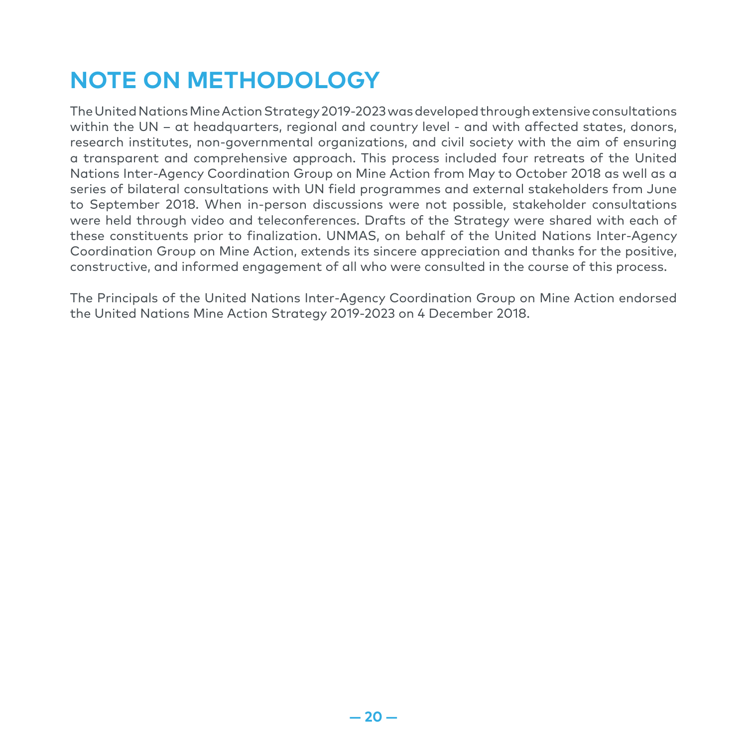## **NOTE ON METHODOLOGY**

The United Nations Mine Action Strategy 2019-2023 was developed through extensive consultations within the UN – at headquarters, regional and country level - and with affected states, donors, research institutes, non-governmental organizations, and civil society with the aim of ensuring a transparent and comprehensive approach. This process included four retreats of the United Nations Inter-Agency Coordination Group on Mine Action from May to October 2018 as well as a series of bilateral consultations with UN field programmes and external stakeholders from June to September 2018. When in-person discussions were not possible, stakeholder consultations were held through video and teleconferences. Drafts of the Strategy were shared with each of these constituents prior to finalization. UNMAS, on behalf of the United Nations Inter-Agency Coordination Group on Mine Action, extends its sincere appreciation and thanks for the positive, constructive, and informed engagement of all who were consulted in the course of this process.

The Principals of the United Nations Inter-Agency Coordination Group on Mine Action endorsed the United Nations Mine Action Strategy 2019-2023 on 4 December 2018.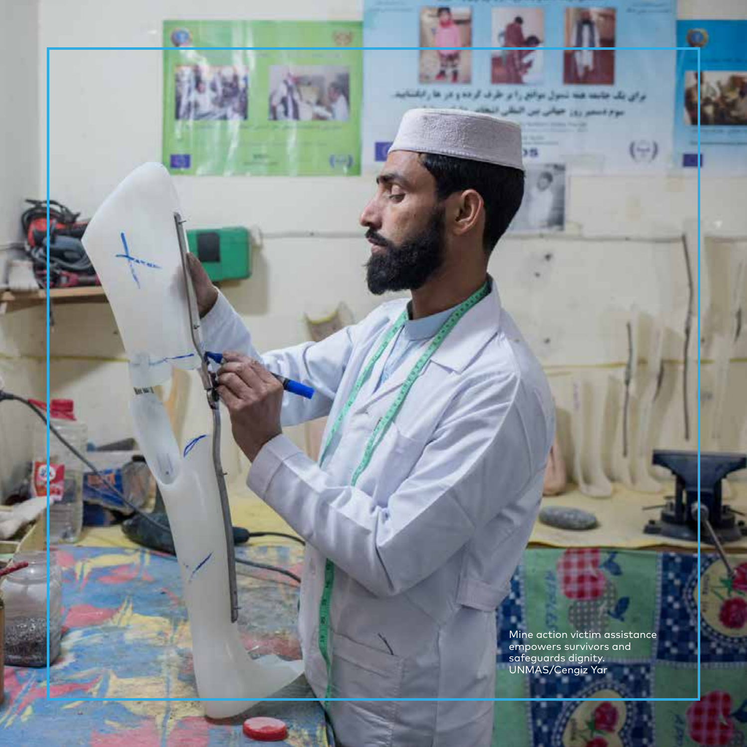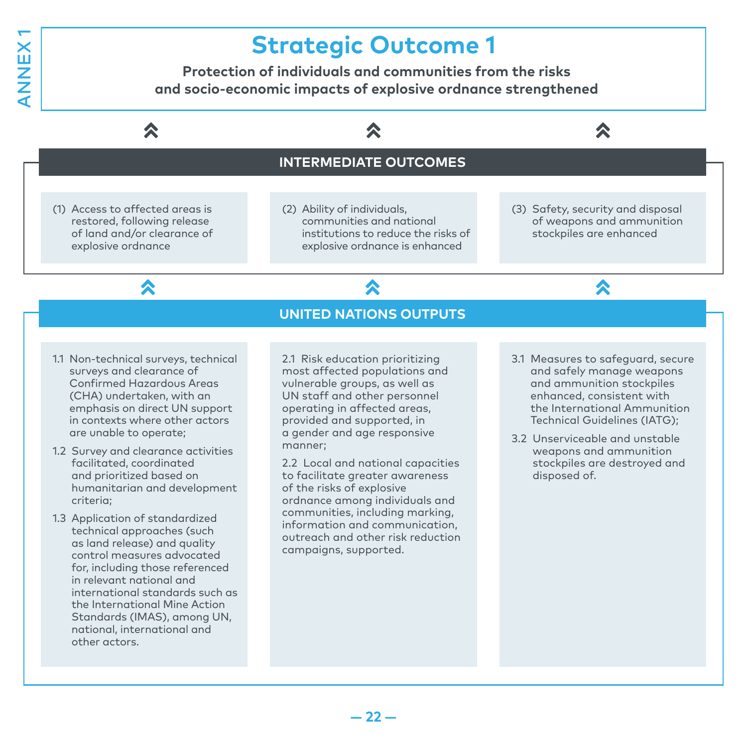# ANNEX 1ANNEX

### **Strategic Outcome 1**

**Protection of individuals and communities from the risks and socio-economic impacts of explosive ordnance strengthened**

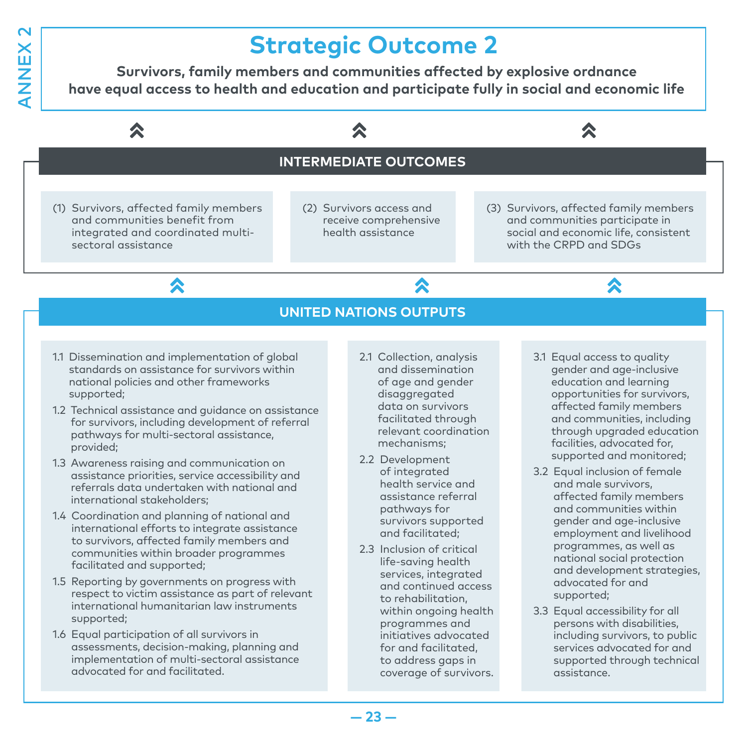### **Strategic Outcome 2**

**Survivors, family members and communities affected by explosive ordnance have equal access to health and education and participate fully in social and economic life**

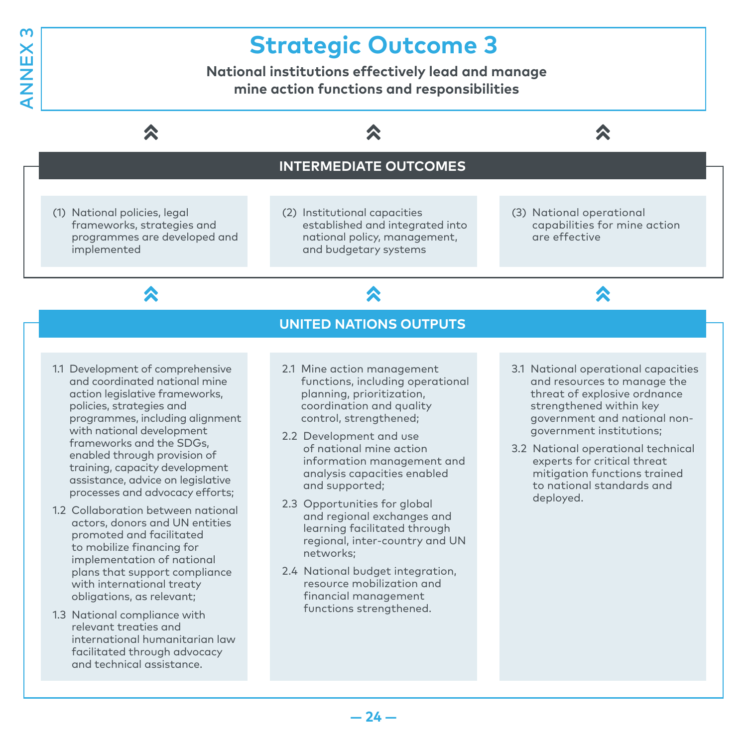### **Strategic Outcome 3**

**National institutions effectively lead and manage mine action functions and responsibilities** 



1.3 National compliance with relevant treaties and international humanitarian law facilitated through advocacy and technical assistance.

obligations, as relevant;

**— 24 —**

financial management functions strengthened.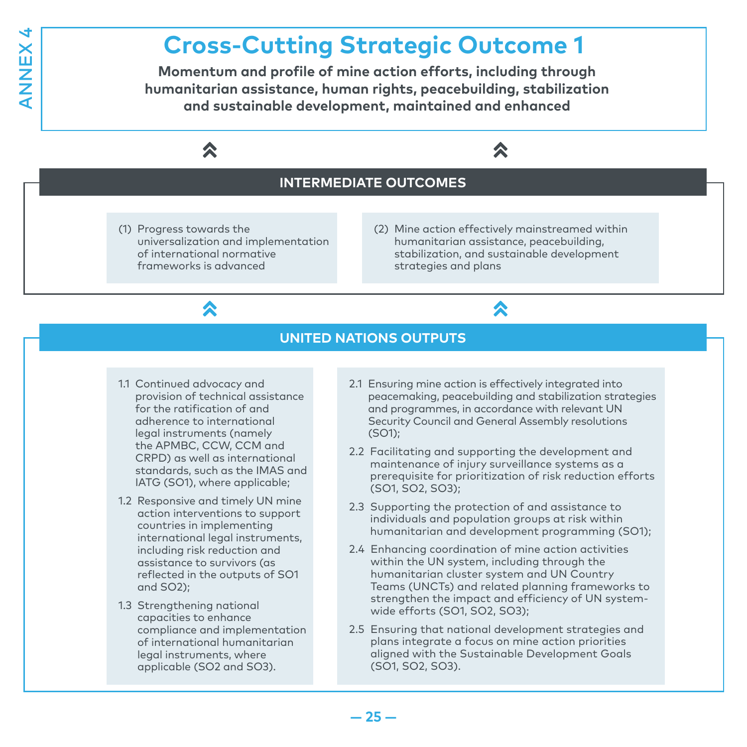### **Cross-Cutting Strategic Outcome 1**

**Momentum and profile of mine action efforts, including through humanitarian assistance, human rights, peacebuilding, stabilization and sustainable development, maintained and enhanced**



- 1.1 Continued advocacy and provision of technical assistance for the ratification of and adherence to international legal instruments (namely the APMBC, CCW, CCM and CRPD) as well as international standards, such as the IMAS and IATG (SO1), where applicable;
- 1.2 Responsive and timely UN mine action interventions to support countries in implementing international legal instruments, including risk reduction and assistance to survivors (as reflected in the outputs of SO1 and SO2);
- 1.3 Strengthening national capacities to enhance compliance and implementation of international humanitarian legal instruments, where applicable (SO2 and SO3).
- 2.1 Ensuring mine action is effectively integrated into peacemaking, peacebuilding and stabilization strategies and programmes, in accordance with relevant UN Security Council and General Assembly resolutions (SO1);
- 2.2 Facilitating and supporting the development and maintenance of injury surveillance systems as a prerequisite for prioritization of risk reduction efforts (SO1, SO2, SO3);
- 2.3 Supporting the protection of and assistance to individuals and population groups at risk within humanitarian and development programming (SO1);
- 2.4 Enhancing coordination of mine action activities within the UN system, including through the humanitarian cluster system and UN Country Teams (UNCTs) and related planning frameworks to strengthen the impact and efficiency of UN systemwide efforts (SO1, SO2, SO3);
- 2.5 Ensuring that national development strategies and plans integrate a focus on mine action priorities aligned with the Sustainable Development Goals (SO1, SO2, SO3).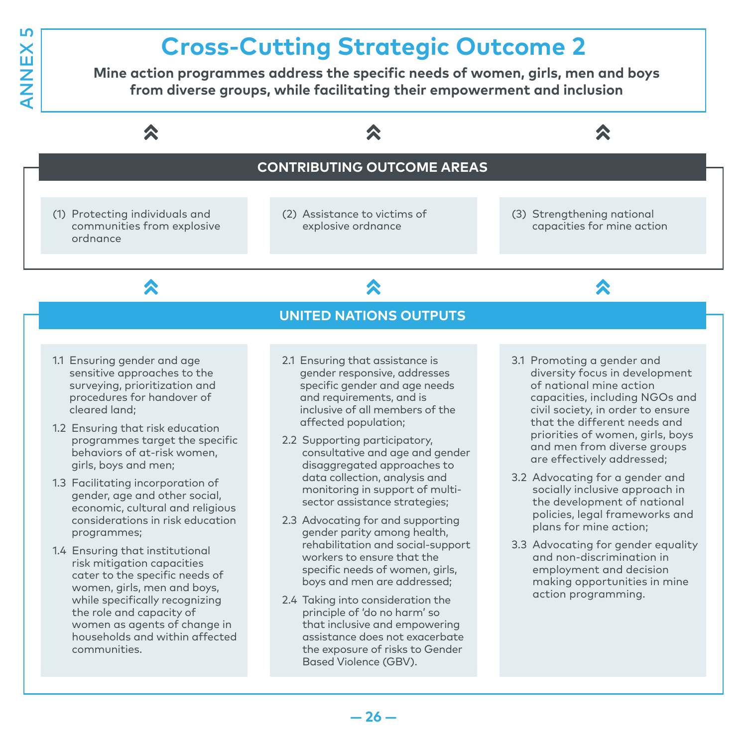### **Cross-Cutting Strategic Outcome 2**

**Mine action programmes address the specific needs of women, girls, men and boys from diverse groups, while facilitating their empowerment and inclusion**



Based Violence (GBV).

that inclusive and empowering assistance does not exacerbate the exposure of risks to Gender

women as agents of change in households and within affected

communities.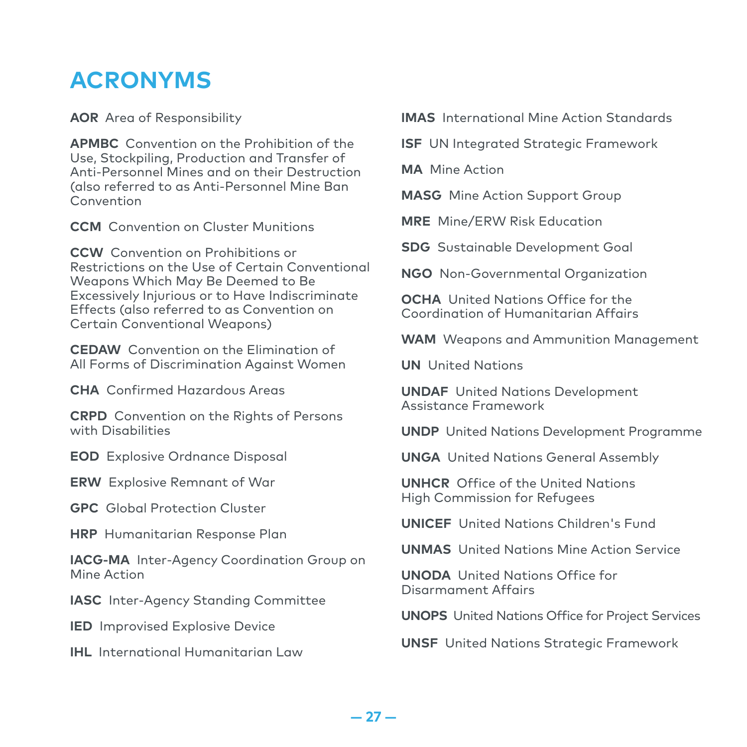### **ACRONYMS**

**AOR** Area of Responsibility

**APMBC** Convention on the Prohibition of the Use, Stockpiling, Production and Transfer of Anti-Personnel Mines and on their Destruction (also referred to as Anti-Personnel Mine Ban Convention

**CCM** Convention on Cluster Munitions

**CCW** Convention on Prohibitions or Restrictions on the Use of Certain Conventional Weapons Which May Be Deemed to Be Excessively Injurious or to Have Indiscriminate Effects (also referred to as Convention on Certain Conventional Weapons)

**CEDAW** Convention on the Elimination of All Forms of Discrimination Against Women

**CHA** Confirmed Hazardous Areas

**CRPD** Convention on the Rights of Persons with Disabilities

**EOD** Explosive Ordnance Disposal

**ERW** Explosive Remnant of War

**GPC** Global Protection Cluster

**HRP** Humanitarian Response Plan

**IACG-MA** Inter-Agency Coordination Group on Mine Action

**IASC** Inter-Agency Standing Committee

**IED** Improvised Explosive Device

**IHL** International Humanitarian Law

**IMAS** International Mine Action Standards

**ISF** UN Integrated Strategic Framework

**MA** Mine Action

**MASG** Mine Action Support Group

**MRE** Mine/ERW Risk Education

**SDG** Sustainable Development Goal

**NGO** Non-Governmental Organization

**OCHA** United Nations Office for the Coordination of Humanitarian Affairs

**WAM** Weapons and Ammunition Management

**UN** United Nations

**UNDAF** United Nations Development Assistance Framework

**UNDP** United Nations Development Programme

**UNGA** United Nations General Assembly

**UNHCR** Office of the United Nations High Commission for Refugees

**UNICEF** United Nations Children's Fund

**UNMAS** United Nations Mine Action Service

**UNODA** United Nations Office for Disarmament Affairs

**UNOPS** United Nations Office for Project Services

**UNSF** United Nations Strategic Framework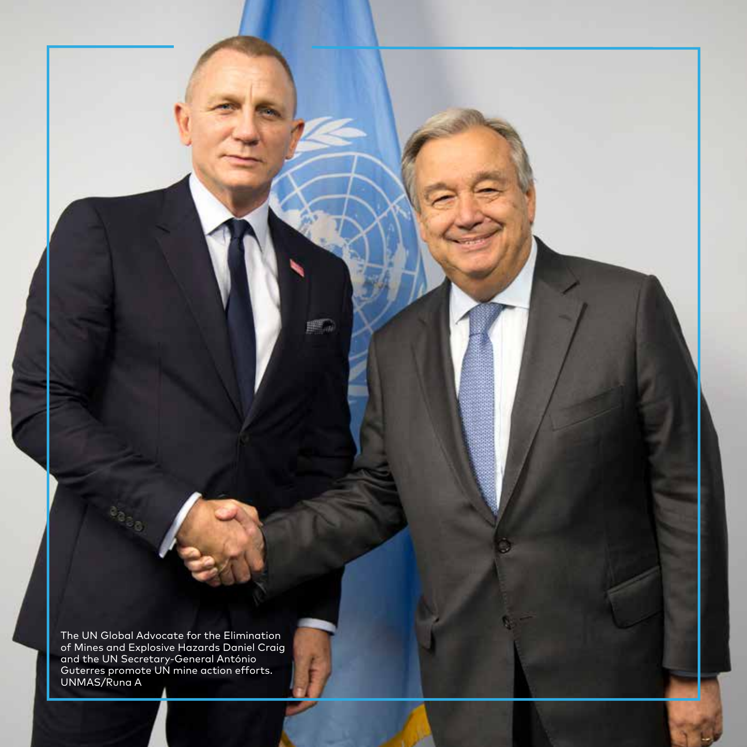The UN Global Advocate for the Elimination of Mines and Explosive Hazards Daniel Craig and the UN Secretary-General António Guterres promote UN mine action efforts. UNMAS/Runa A

譯